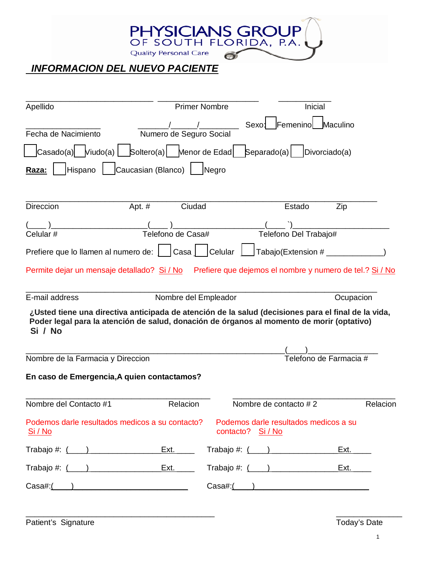

## *INFORMACION DEL NUEVO PACIENTE*

| Apellido                                                                                                                                                                                                    | <b>Primer Nombre</b>     |                   |             | Inicial                                                  |                        |          |
|-------------------------------------------------------------------------------------------------------------------------------------------------------------------------------------------------------------|--------------------------|-------------------|-------------|----------------------------------------------------------|------------------------|----------|
| Fecha de Nacimiento                                                                                                                                                                                         | Numero de Seguro Social  |                   | Sexo:       | Femenino                                                 | Maculino               |          |
| $ $ Casado(a) $ $ $ $ Viudo(a) $ $                                                                                                                                                                          | Soltero(a) Menor de Edad |                   | Separado(a) |                                                          | Divorciado(a)          |          |
| Hispano<br>Raza:                                                                                                                                                                                            | Caucasian (Blanco)       | Negro             |             |                                                          |                        |          |
| <b>Direccion</b><br>Apt. #                                                                                                                                                                                  | Ciudad                   |                   |             | Estado                                                   | Zip                    |          |
| Celular#                                                                                                                                                                                                    | Telefono de Casa#        |                   |             | Telefono Del Trabajo#                                    |                        |          |
| Prefiere que lo llamen al numero de:                                                                                                                                                                        | Cas <sub>1</sub>         | Celular           |             | Tabajo(Extension #                                       |                        |          |
| Permite dejar un mensaje detallado? Si / No                                                                                                                                                                 |                          |                   |             | Prefiere que dejemos el nombre y numero de tel.? Si / No |                        |          |
| E-mail address                                                                                                                                                                                              | Nombre del Empleador     |                   |             |                                                          | Ocupacion              |          |
| ,Usted tiene una directiva anticipada de atención de la salud (decisiones para el final de la vida,<br>Poder legal para la atención de salud, donación de órganos al momento de morir (optativo)<br>Si / No |                          |                   |             |                                                          |                        |          |
|                                                                                                                                                                                                             |                          |                   |             |                                                          |                        |          |
| Nombre de la Farmacia y Direccion                                                                                                                                                                           |                          |                   |             |                                                          | Telefono de Farmacia # |          |
| En caso de Emergencia, A quien contactamos?                                                                                                                                                                 |                          |                   |             |                                                          |                        |          |
| Nombre del Contacto #1                                                                                                                                                                                      | Relacion                 |                   |             | Nombre de contacto #2                                    |                        | Relacion |
| Podemos darle resultados medicos a su contacto?<br>Si / No                                                                                                                                                  |                          | contacto? Si / No |             | Podemos darle resultados medicos a su                    |                        |          |
|                                                                                                                                                                                                             |                          |                   |             |                                                          | Ext. ______            |          |
|                                                                                                                                                                                                             |                          |                   |             | Trabajo #: (____) _______________                        |                        |          |
|                                                                                                                                                                                                             |                          |                   |             | $\text{Cas}\left(\begin{array}{c}\right) \end{array}$    |                        |          |
|                                                                                                                                                                                                             |                          |                   |             |                                                          |                        |          |

Patient's Signature Today's Date

\_\_\_\_\_\_\_\_\_\_\_\_\_\_\_\_\_\_\_\_\_\_\_\_\_\_\_\_\_\_\_\_\_\_\_\_\_\_\_\_\_\_\_ \_\_\_\_\_\_\_\_\_\_\_\_\_\_\_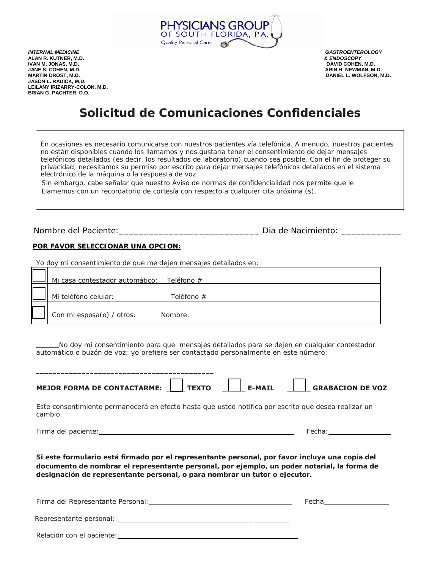

*INTERNAL MEDICINE GASTROENTEROLOGY*  **ALAN R. KUTNER, M.D.** *& ENDOSCOPY* **IVAN M. JONAS, M.D.<br>JANE S. COHEN, M.D. JANE S. COHEN, M.D. ARIN H. NEWMAN, M.D. JASON L. RADICK, M.D. LEILANY IRIZARRY-COLON, M.D. BRIAN G. PACHTER, D.O.**

**DANIEL L. WOLFSON, M.D.** 

## **Solicitud de Comunicaciones Confidenciales**

En ocasiones es necesario comunicarse con nuestros pacientes vía telefónica. A menudo, nuestros pacientes no están disponibles cuando los llamamos y nos gustaría tener el consentimiento de dejar mensajes telefónicos detallados (es decir, los resultados de laboratorio) cuando sea posible. Con el fin de proteger su privacidad, necesitamos su permiso por escrito para dejar mensajes telefónicos detallados en el sistema electrónico de la máquina o la respuesta de voz.

 Sin embargo, cabe señalar que nuestro Aviso de normas de confidencialidad nos permite que le Llamemos con un recordatorio de cortesía con respecto a cualquier cita próxima (s).

Nombre del Paciente: \_\_\_\_\_\_\_\_\_\_\_\_\_\_\_\_\_\_\_\_\_\_\_\_\_\_\_\_\_\_\_\_\_\_Dia de Nacimiento: \_\_\_\_\_\_\_

#### **POR FAVOR SELECCIONAR UNA OPCION:**

Yo doy mi consentimiento de que me dejen mensajes detallados en:

| Mi casa contestador automático: Teléfono # |            |
|--------------------------------------------|------------|
| Mi teléfono celular:                       | Teléfono # |
| Con mi esposa(o) / otros:                  | Nombre:    |

No doy mi consentimiento para que mensajes detallados para se dejen en cualquier contestador automático o buzón de voz; yo prefiere ser contactado personalmente en este número:

| MEJOR FORMA DE CONTACTARME: $\begin{array}{ c c c c c c }\n\hline\n\end{array}$ TEXTO $\begin{array}{ c c c c c c }\n\hline\n\end{array}$ E-MAIL $\begin{array}{ c c c c c }\n\hline\n\end{array}$ GRABACION DE VOZ                                                         |                                                                                                                                                                                                                                |  |  |
|-----------------------------------------------------------------------------------------------------------------------------------------------------------------------------------------------------------------------------------------------------------------------------|--------------------------------------------------------------------------------------------------------------------------------------------------------------------------------------------------------------------------------|--|--|
| Este consentimiento permanecerá en efecto hasta que usted notifica por escrito que desea realizar un<br>cambio.                                                                                                                                                             |                                                                                                                                                                                                                                |  |  |
|                                                                                                                                                                                                                                                                             | Fecha: Distribution of the Contract of the Contract of the Contract of the Contract of the Contract of the Contract of the Contract of the Contract of the Contract of the Contract of the Contract of the Contract of the Con |  |  |
| Si este formulario está firmado por el representante personal, por favor incluya una copia del<br>documento de nombrar el representante personal, por ejemplo, un poder notarial, la forma de<br>designación de representante personal, o para nombrar un tutor o ejecutor. |                                                                                                                                                                                                                                |  |  |
|                                                                                                                                                                                                                                                                             | Fecha________________                                                                                                                                                                                                          |  |  |
|                                                                                                                                                                                                                                                                             |                                                                                                                                                                                                                                |  |  |
| Relación con el paciente: el paciente de la paciente de la paciente de la paciente de la paciente de la pacien                                                                                                                                                              |                                                                                                                                                                                                                                |  |  |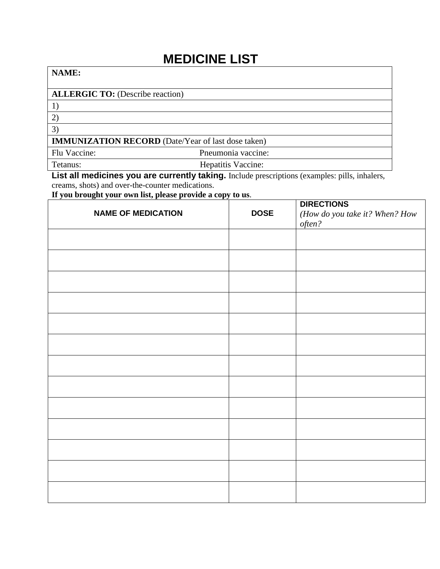## **MEDICINE LIST**

## **NAME: ALLERGIC TO:** (Describe reaction) 1) 2) 3) **IMMUNIZATION RECORD** (Date/Year of last dose taken) Flu Vaccine: Pneumonia vaccine: Tetanus: Hepatitis Vaccine:

List all medicines you are currently taking. Include prescriptions (examples: pills, inhalers,

creams, shots) and over-the-counter medications.

**If you brought your own list, please provide a copy to us**.

| <b>NAME OF MEDICATION</b> | <b>DOSE</b> | <b>DIRECTIONS</b><br>(How do you take it? When? How<br>often? |
|---------------------------|-------------|---------------------------------------------------------------|
|                           |             |                                                               |
|                           |             |                                                               |
|                           |             |                                                               |
|                           |             |                                                               |
|                           |             |                                                               |
|                           |             |                                                               |
|                           |             |                                                               |
|                           |             |                                                               |
|                           |             |                                                               |
|                           |             |                                                               |
|                           |             |                                                               |
|                           |             |                                                               |
|                           |             |                                                               |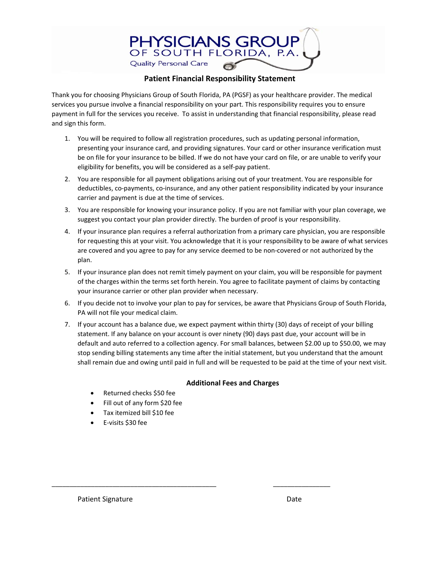

#### **Patient Financial Responsibility Statement**

Thank you for choosing Physicians Group of South Florida, PA (PGSF) as your healthcare provider. The medical services you pursue involve a financial responsibility on your part. This responsibility requires you to ensure payment in full for the services you receive. To assist in understanding that financial responsibility, please read and sign this form.

- 1. You will be required to follow all registration procedures, such as updating personal information, presenting your insurance card, and providing signatures. Your card or other insurance verification must be on file for your insurance to be billed. If we do not have your card on file, or are unable to verify your eligibility for benefits, you will be considered as a self‐pay patient.
- 2. You are responsible for all payment obligations arising out of your treatment. You are responsible for deductibles, co‐payments, co‐insurance, and any other patient responsibility indicated by your insurance carrier and payment is due at the time of services.
- 3. You are responsible for knowing your insurance policy. If you are not familiar with your plan coverage, we suggest you contact your plan provider directly. The burden of proof is your responsibility.
- 4. If your insurance plan requires a referral authorization from a primary care physician, you are responsible for requesting this at your visit. You acknowledge that it is your responsibility to be aware of what services are covered and you agree to pay for any service deemed to be non‐covered or not authorized by the plan.
- 5. If your insurance plan does not remit timely payment on your claim, you will be responsible for payment of the charges within the terms set forth herein. You agree to facilitate payment of claims by contacting your insurance carrier or other plan provider when necessary.
- 6. If you decide not to involve your plan to pay for services, be aware that Physicians Group of South Florida, PA will not file your medical claim.
- 7. If your account has a balance due, we expect payment within thirty (30) days of receipt of your billing statement. If any balance on your account is over ninety (90) days past due, your account will be in default and auto referred to a collection agency. For small balances, between \$2.00 up to \$50.00, we may stop sending billing statements any time after the initial statement, but you understand that the amount shall remain due and owing until paid in full and will be requested to be paid at the time of your next visit.

#### **Additional Fees and Charges**

\_\_\_\_\_\_\_\_\_\_\_\_\_\_\_\_\_\_\_\_\_\_\_\_\_\_\_\_\_\_\_\_\_\_\_\_\_\_\_\_\_\_\_\_\_\_ \_\_\_\_\_\_\_\_\_\_\_\_\_\_\_\_

- Returned checks \$50 fee
- Fill out of any form \$20 fee
- Tax itemized bill \$10 fee
- E‐visits \$30 fee

Patient Signature **Date**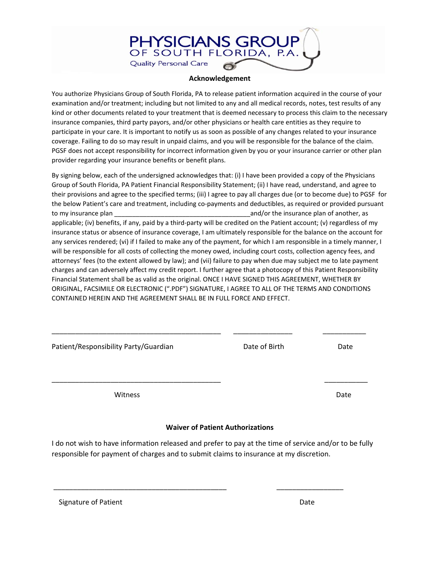#### **Acknowledgement**

**PHYSICIANS GROUP** OF SOUTH FLORIDA, P.A.

**Quality Personal Care** 

You authorize Physicians Group of South Florida, PA to release patient information acquired in the course of your examination and/or treatment; including but not limited to any and all medical records, notes, test results of any kind or other documents related to your treatment that is deemed necessary to process this claim to the necessary insurance companies, third party payors, and/or other physicians or health care entities as they require to participate in your care. It is important to notify us as soon as possible of any changes related to your insurance coverage. Failing to do so may result in unpaid claims, and you will be responsible for the balance of the claim. PGSF does not accept responsibility for incorrect information given by you or your insurance carrier or other plan provider regarding your insurance benefits or benefit plans.

By signing below, each of the undersigned acknowledges that: (i) I have been provided a copy of the Physicians Group of South Florida, PA Patient Financial Responsibility Statement; (ii) I have read, understand, and agree to their provisions and agree to the specified terms; (iii) I agree to pay all charges due (or to become due) to PGSF for the below Patient's care and treatment, including co‐payments and deductibles, as required or provided pursuant to my insurance plan \_\_\_\_\_\_\_\_\_\_\_\_\_\_\_\_\_\_\_\_\_\_\_\_\_\_\_\_\_\_\_\_\_\_\_\_\_\_and/or the insurance plan of another, as applicable; (iv) benefits, if any, paid by a third-party will be credited on the Patient account; (v) regardless of my insurance status or absence of insurance coverage, I am ultimately responsible for the balance on the account for any services rendered; (vi) if I failed to make any of the payment, for which I am responsible in a timely manner, I will be responsible for all costs of collecting the money owed, including court costs, collection agency fees, and attorneys' fees (to the extent allowed by law); and (vii) failure to pay when due may subject me to late payment charges and can adversely affect my credit report. I further agree that a photocopy of this Patient Responsibility Financial Statement shall be as valid as the original. ONCE I HAVE SIGNED THIS AGREEMENT, WHETHER BY ORIGINAL, FACSIMILE OR ELECTRONIC (".PDF") SIGNATURE, I AGREE TO ALL OF THE TERMS AND CONDITIONS CONTAINED HEREIN AND THE AGREEMENT SHALL BE IN FULL FORCE AND EFFECT.

| Patient/Responsibility Party/Guardian | Date of Birth | Date |
|---------------------------------------|---------------|------|
| Witness                               |               | Date |

#### **Waiver of Patient Authorizations**

I do not wish to have information released and prefer to pay at the time of service and/or to be fully responsible for payment of charges and to submit claims to insurance at my discretion.

\_\_\_\_\_\_\_\_\_\_\_\_\_\_\_\_\_\_\_\_\_\_\_\_\_\_\_\_\_\_\_\_\_\_\_\_\_\_\_\_\_\_\_\_ \_\_\_\_\_\_\_\_\_\_\_\_\_\_\_\_\_

| Signature of Patient | Date |
|----------------------|------|
|----------------------|------|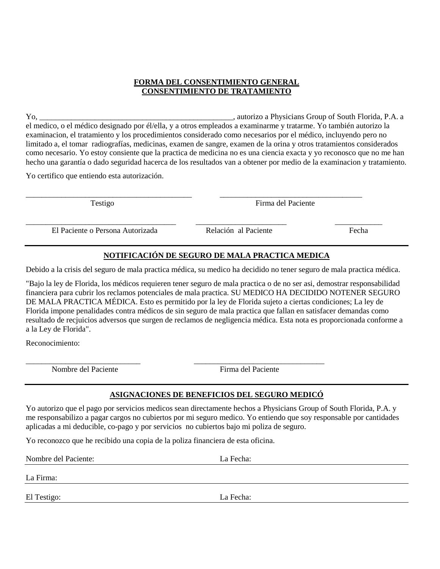#### **FORMA DEL CONSENTIMIENTO GENERAL CONSENTIMIENTO DE TRATAMIENTO**

Yo, \_\_\_\_\_\_\_\_\_\_\_\_\_\_\_\_\_\_\_\_\_\_\_\_\_\_\_\_\_\_\_\_\_\_\_\_\_\_\_\_\_\_\_\_\_\_\_\_\_, autorizo a Physicians Group of South Florida, P.A. a el medico, o el médico designado por él/ella, y a otros empleados a examinarme y tratarme. Yo también autorizo la examinacion, el tratamiento y los procedimientos considerado como necesarios por el médico, incluyendo pero no limitado a, el tomar radiografías, medicinas, examen de sangre, examen de la orina y otros tratamientos considerados como necesario. Yo estoy consiente que la practica de medicina no es una ciencia exacta y yo reconosco que no me han hecho una garantía o dado seguridad hacerca de los resultados van a obtener por medio de la examinacion y tratamiento.

Yo certifico que entiendo esta autorización.

\_\_\_\_\_\_\_\_\_\_\_\_\_\_\_\_\_\_\_\_\_\_\_\_\_\_\_\_\_\_\_\_\_\_\_\_\_\_\_\_\_\_ \_\_\_\_\_\_\_\_\_\_\_\_\_\_\_\_\_\_\_\_\_\_\_\_\_\_\_\_\_\_\_\_\_\_\_\_ Testigo Firma del Paciente

\_\_\_\_\_\_\_\_\_\_\_\_\_\_\_\_\_\_\_\_\_\_\_\_\_\_\_\_\_\_\_\_\_\_\_\_\_\_ \_\_\_\_\_\_\_\_\_\_\_\_\_\_\_\_\_\_\_\_\_\_\_ \_\_\_\_\_\_\_\_\_\_\_\_ El Paciente o Persona Autorizada Relación al Paciente Fecha

#### **NOTIFICACIÓN DE SEGURO DE MALA PRACTICA MEDICA**

Debido a la crisis del seguro de mala practica médica, su medico ha decidido no tener seguro de mala practica médica.

"Bajo la ley de Florida, los médicos requieren tener seguro de mala practica o de no ser asi, demostrar responsabilidad financiera para cubrir los reclamos potenciales de mala practica. SU MEDICO HA DECIDIDO NOTENER SEGURO DE MALA PRACTICA MÉDICA. Esto es permitido por la ley de Florida sujeto a ciertas condiciones; La ley de Florida impone penalidades contra médicos de sin seguro de mala practica que fallan en satisfacer demandas como resultado de recjuicios adversos que surgen de reclamos de negligencia médica. Esta nota es proporcionada conforme a a la Ley de Florida".

Reconocimiento:

Nombre del Paciente Firma del Paciente

#### **ASIGNACIONES DE BENEFICIOS DEL SEGURO MEDICÓ**

Yo autorizo que el pago por servicios medicos sean directamente hechos a Physicians Group of South Florida, P.A. y me responsabilizo a pagar cargos no cubiertos por mi seguro medico. Yo entiendo que soy responsable por cantidades aplicadas a mi deducible, co-pago y por servicios no cubiertos bajo mi poliza de seguro.

Yo reconozco que he recibido una copia de la poliza financiera de esta oficina.

\_\_\_\_\_\_\_\_\_\_\_\_\_\_\_\_\_\_\_\_\_\_\_\_\_\_\_\_\_ \_\_\_\_\_\_\_\_\_\_\_\_\_\_\_\_\_\_\_\_\_\_\_\_\_\_\_\_\_\_\_\_\_

Nombre del Paciente: La Fecha:

La Firma:

El Testigo: La Fecha: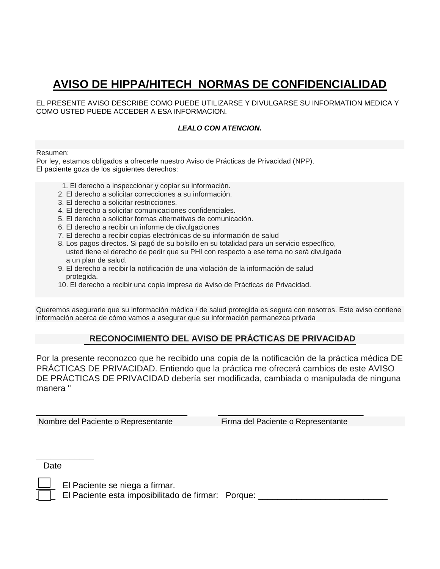## **AVISO DE HIPPA/HITECH NORMAS DE CONFIDENCIALIDAD**

EL PRESENTE AVISO DESCRIBE COMO PUEDE UTILIZARSE Y DIVULGARSE SU INFORMATION MEDICA Y COMO USTED PUEDE ACCEDER A ESA INFORMACION.

#### *LEALO CON ATENCION.*

Resumen:

Por ley, estamos obligados a ofrecerle nuestro Aviso de Prácticas de Privacidad (NPP). El paciente goza de los siguientes derechos:

- 1. El derecho a inspeccionar y copiar su información.
- 2. El derecho a solicitar correcciones a su información.
- 3. El derecho a solicitar restricciones.
- 4. El derecho a solicitar comunicaciones confidenciales.
- 5. El derecho a solicitar formas alternativas de comunicación.
- 6. El derecho a recibir un informe de divulgaciones
- 7. El derecho a recibir copias electrónicas de su información de salud
- 8. Los pagos directos. Si pagó de su bolsillo en su totalidad para un servicio específico, usted tiene el derecho de pedir que su PHI con respecto a ese tema no será divulgada a un plan de salud.
- 9. El derecho a recibir la notificación de una violación de la información de salud protegida.
- 10. El derecho a recibir una copia impresa de Aviso de Prácticas de Privacidad.

Queremos asegurarle que su información médica / de salud protegida es segura con nosotros. Este aviso contiene información acerca de cómo vamos a asegurar que su información permanezca privada

#### **RECONOCIMIENTO DEL AVISO DE PRÁCTICAS DE PRIVACIDAD**

Por la presente reconozco que he recibido una copia de la notificación de la práctica médica DE PRÁCTICAS DE PRIVACIDAD. Entiendo que la práctica me ofrecerá cambios de este AVISO DE PRÁCTICAS DE PRIVACIDAD debería ser modificada, cambiada o manipulada de ninguna manera "

\_\_\_\_\_\_\_\_\_\_\_\_\_\_\_\_\_\_\_\_\_\_\_\_\_\_\_ \_\_\_\_\_\_\_\_\_\_\_\_\_\_\_\_\_\_\_\_\_\_\_\_\_\_

Nombre del Paciente o Representante Firma del Paciente o Representante

Date

**\_\_\_\_\_\_\_\_\_\_\_\_** 

El Paciente se niega a firmar.

El Paciente esta imposibilitado de firmar: Porque: \_\_\_\_\_\_\_\_\_\_\_\_\_\_\_\_\_\_\_\_\_\_\_\_\_\_\_\_\_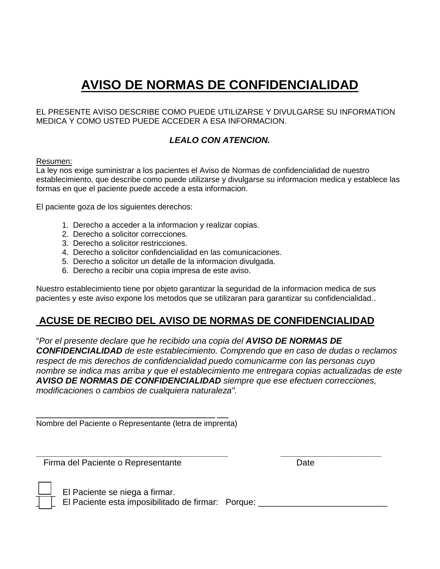# **AVISO DE NORMAS DE CONFIDENCIALIDAD**

EL PRESENTE AVISO DESCRIBE COMO PUEDE UTILIZARSE Y DIVULGARSE SU INFORMATION MEDICA Y COMO USTED PUEDE ACCEDER A ESA INFORMACION.

### *LEALO CON ATENCION.*

#### Resumen:

La ley nos exige suministrar a los pacientes el Aviso de Normas de confidencialidad de nuestro establecimiento, que describe como puede utilizarse y divulgarse su informacion medica y establece las formas en que el paciente puede accede a esta informacion.

El paciente goza de los siguientes derechos:

- 1. Derecho a acceder a la informacion y realizar copias.
- 2. Derecho a solicitor correcciones.
- 3. Derecho a solicitor restricciones.
- 4. Derecho a solicitor confidencialidad en las comunicaciones.
- 5. Derecho a solicitor un detalle de la informacion divulgada.
- 6. Derecho a recibir una copia impresa de este aviso.

Nuestro establecimiento tiene por objeto garantizar la seguridad de la informacion medica de sus pacientes y este aviso expone los metodos que se utilizaran para garantizar su confidencialidad..

## **ACUSE DE RECIBO DEL AVISO DE NORMAS DE CONFIDENCIALIDAD**

"*Por el presente declare que he recibido una copia del AVISO DE NORMAS DE CONFIDENCIALIDAD de este establecimiento. Comprendo que en caso de dudas o reclamos respect de mis derechos de confidencialidad puedo comunicarme con las personas cuyo nombre se indica mas arriba y que el establecimiento me entregara copias actualizadas de este AVISO DE NORMAS DE CONFIDENCIALIDAD siempre que ese efectuen correcciones, modificaciones o cambios de cualquiera naturaleza".*

Nombre del Paciente o Representante (letra de imprenta)

**\_\_\_\_\_\_\_\_\_\_\_\_\_\_\_\_\_\_\_\_\_\_\_\_\_\_\_\_\_\_\_\_\_\_\_\_\_\_\_\_ \_\_\_\_\_\_\_\_\_\_\_\_\_\_\_\_\_\_\_\_\_** Firma del Paciente o Representante e a contra la parte del Date



El Paciente se niega a firmar.

El Paciente esta imposibilitado de firmar: Porque: \_\_\_\_\_\_\_\_\_\_\_\_\_\_\_\_\_\_\_\_\_\_\_\_\_\_\_\_\_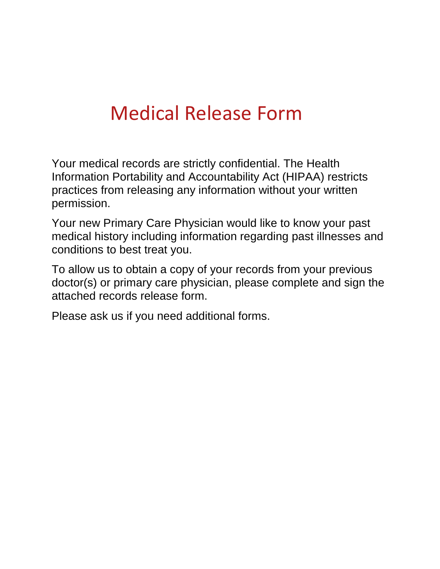# Medical Release Form

Your medical records are strictly confidential. The Health Information Portability and Accountability Act (HIPAA) restricts practices from releasing any information without your written permission.

Your new Primary Care Physician would like to know your past medical history including information regarding past illnesses and conditions to best treat you.

To allow us to obtain a copy of your records from your previous doctor(s) or primary care physician, please complete and sign the attached records release form.

Please ask us if you need additional forms.